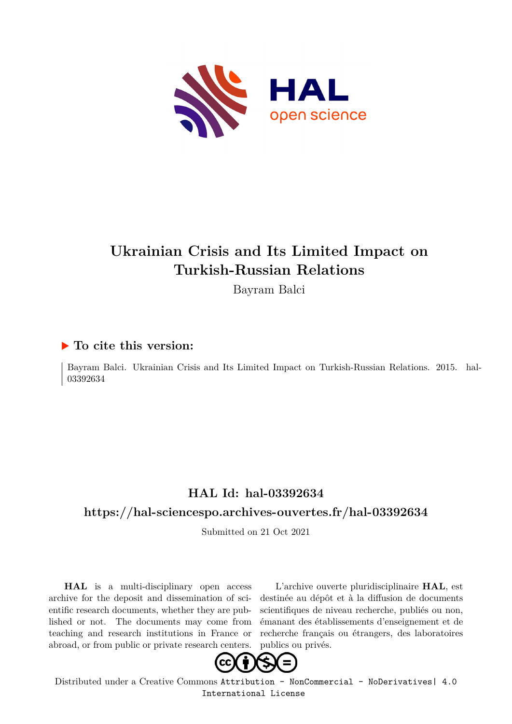

## **Ukrainian Crisis and Its Limited Impact on Turkish-Russian Relations**

Bayram Balci

#### **To cite this version:**

Bayram Balci. Ukrainian Crisis and Its Limited Impact on Turkish-Russian Relations. 2015. hal-03392634ff

### **HAL Id: hal-03392634**

#### **<https://hal-sciencespo.archives-ouvertes.fr/hal-03392634>**

Submitted on 21 Oct 2021

**HAL** is a multi-disciplinary open access archive for the deposit and dissemination of scientific research documents, whether they are published or not. The documents may come from teaching and research institutions in France or abroad, or from public or private research centers.

L'archive ouverte pluridisciplinaire **HAL**, est destinée au dépôt et à la diffusion de documents scientifiques de niveau recherche, publiés ou non, émanant des établissements d'enseignement et de recherche français ou étrangers, des laboratoires publics ou privés.



Distributed under a Creative Commons [Attribution - NonCommercial - NoDerivatives| 4.0](http://creativecommons.org/licenses/by-nc-nd/4.0/) [International License](http://creativecommons.org/licenses/by-nc-nd/4.0/)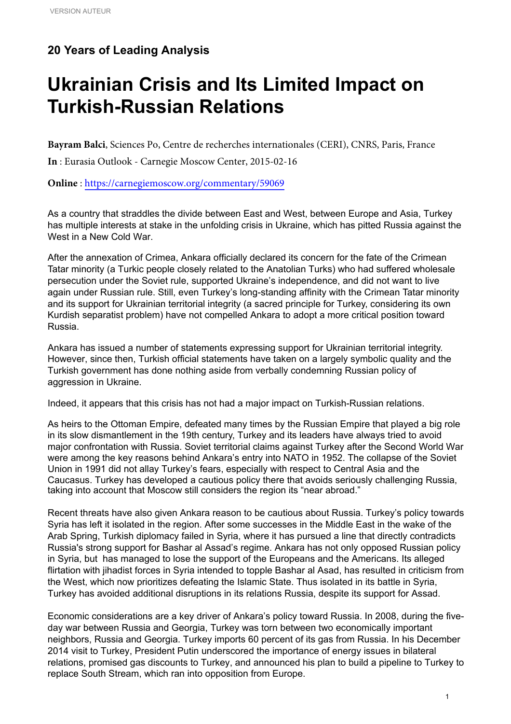#### **20 Years of Leading Analysis**

# **Ukrainian Crisis and Its Limited Impact on Turkish-Russian Relations**

**Bayram Balci**, Sciences Po, Centre de recherches internationales (CERI), CNRS, Paris, France

**In** : Eurasia Outlook - Carnegie Moscow Center, 2015-02-16

**Online** : <https://carnegiemoscow.org/commentary/59069>

As a country that straddles the divide between East and West, between Europe and Asia, Turkey has multiple interests at stake in the unfolding crisis in Ukraine, which has pitted Russia against the West in a New Cold War.

After the annexation of Crimea, Ankara officially declared its concern for the fate of the Crimean Tatar minority (a Turkic people closely related to the Anatolian Turks) who had suffered wholesale persecution under the Soviet rule, supported Ukraine's independence, and did not want to live again under Russian rule. Still, even Turkey's long-standing affinity with the Crimean Tatar minority and its support for Ukrainian territorial integrity (a sacred principle for Turkey, considering its own Kurdish separatist problem) have not compelled Ankara to adopt a more critical position toward Russia.

Ankara has issued a number of statements expressing support for Ukrainian territorial integrity. However, since then, Turkish official statements have taken on a largely symbolic quality and the Turkish government has done nothing aside from verbally condemning Russian policy of aggression in Ukraine.

Indeed, it appears that this crisis has not had a major impact on Turkish-Russian relations.

As heirs to the Ottoman Empire, defeated many times by the Russian Empire that played a big role in its slow dismantlement in the 19th century, Turkey and its leaders have always tried to avoid major confrontation with Russia. Soviet territorial claims against Turkey after the Second World War were among the key reasons behind Ankara's entry into NATO in 1952. The collapse of the Soviet Union in 1991 did not allay Turkey's fears, especially with respect to Central Asia and the Caucasus. Turkey has developed a cautious policy there that avoids seriously challenging Russia, taking into account that Moscow still considers the region its "near abroad."

Recent threats have also given Ankara reason to be cautious about Russia. Turkey's policy towards Syria has left it isolated in the region. After some successes in the Middle East in the wake of the Arab Spring, Turkish diplomacy failed in Syria, where it has pursued a line that directly contradicts Russia's strong support for Bashar al Assad's regime. Ankara has not only opposed Russian policy in Syria, but has managed to lose the support of the Europeans and the Americans. Its alleged flirtation with jihadist forces in Syria intended to topple Bashar al Asad, has resulted in criticism from the West, which now prioritizes defeating the Islamic State. Thus isolated in its battle in Syria, Turkey has avoided additional disruptions in its relations Russia, despite its support for Assad.

Economic considerations are a key driver of Ankara's policy toward Russia. In 2008, during the fiveday war between Russia and Georgia, Turkey was torn between two economically important neighbors, Russia and Georgia. Turkey imports 60 percent of its gas from Russia. In his December 2014 visit to Turkey, President Putin underscored the importance of energy issues in bilateral relations, promised gas discounts to Turkey, and announced his plan to build a pipeline to Turkey to replace South Stream, which ran into opposition from Europe.